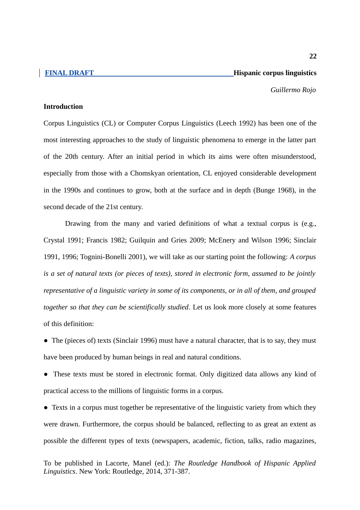## **Introduction**

Corpus Linguistics (CL) or Computer Corpus Linguistics (Leech 1992) has been one of the most interesting approaches to the study of linguistic phenomena to emerge in the latter part of the 20th century. After an initial period in which its aims were often misunderstood, especially from those with a Chomskyan orientation, CL enjoyed considerable development in the 1990s and continues to grow, both at the surface and in depth (Bunge 1968), in the second decade of the 21st century.

Drawing from the many and varied definitions of what a textual corpus is (e.g., Crystal 1991; Francis 1982; Guilquin and Gries 2009; McEnery and Wilson 1996; Sinclair 1991, 1996; Tognini-Bonelli 2001), we will take as our starting point the following: *A corpus is a set of natural texts (or pieces of texts), stored in electronic form, assumed to be jointly representative of a linguistic variety in some of its components, or in all of them, and grouped together so that they can be scientifically studied*. Let us look more closely at some features of this definition:

• The (pieces of) texts (Sinclair 1996) must have a natural character, that is to say, they must have been produced by human beings in real and natural conditions.

● These texts must be stored in electronic format. Only digitized data allows any kind of practical access to the millions of linguistic forms in a corpus.

• Texts in a corpus must together be representative of the linguistic variety from which they were drawn. Furthermore, the corpus should be balanced, reflecting to as great an extent as possible the different types of texts (newspapers, academic, fiction, talks, radio magazines,

To be published in Lacorte, Manel (ed.): *The Routledge Handbook of Hispanic Applied Linguistics*. New York: Routledge, 2014, 371-387.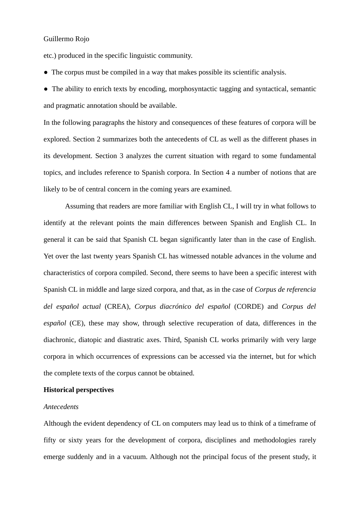etc.) produced in the specific linguistic community.

- The corpus must be compiled in a way that makes possible its scientific analysis.
- The ability to enrich texts by encoding, morphosyntactic tagging and syntactical, semantic and pragmatic annotation should be available.

In the following paragraphs the history and consequences of these features of corpora will be explored. Section 2 summarizes both the antecedents of CL as well as the different phases in its development. Section 3 analyzes the current situation with regard to some fundamental topics, and includes reference to Spanish corpora. In Section 4 a number of notions that are likely to be of central concern in the coming years are examined.

Assuming that readers are more familiar with English CL, I will try in what follows to identify at the relevant points the main differences between Spanish and English CL. In general it can be said that Spanish CL began significantly later than in the case of English. Yet over the last twenty years Spanish CL has witnessed notable advances in the volume and characteristics of corpora compiled. Second, there seems to have been a specific interest with Spanish CL in middle and large sized corpora, and that, as in the case of *Corpus de referencia del español actual* (CREA), *Corpus diacrónico del español* (CORDE) and *Corpus del español* (CE), these may show, through selective recuperation of data, differences in the diachronic, diatopic and diastratic axes. Third, Spanish CL works primarily with very large corpora in which occurrences of expressions can be accessed via the internet, but for which the complete texts of the corpus cannot be obtained.

# **Historical perspectives**

### *Antecedents*

Although the evident dependency of CL on computers may lead us to think of a timeframe of fifty or sixty years for the development of corpora, disciplines and methodologies rarely emerge suddenly and in a vacuum. Although not the principal focus of the present study, it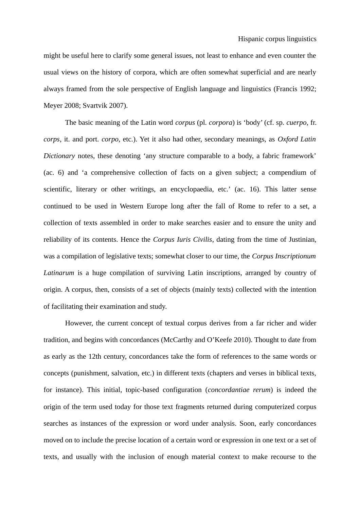might be useful here to clarify some general issues, not least to enhance and even counter the usual views on the history of corpora, which are often somewhat superficial and are nearly always framed from the sole perspective of English language and linguistics (Francis 1992; Meyer 2008; Svartvik 2007).

The basic meaning of the Latin word *corpus* (pl. *corpora*) is 'body' (cf. sp. *cuerpo*, fr. *corps*, it. and port. *corpo*, etc.). Yet it also had other, secondary meanings, as *Oxford Latin Dictionary* notes, these denoting 'any structure comparable to a body, a fabric framework' (ac. 6) and ʻa comprehensive collection of facts on a given subject; a compendium of scientific, literary or other writings, an encyclopaedia, etc.' (ac. 16). This latter sense continued to be used in Western Europe long after the fall of Rome to refer to a set, a collection of texts assembled in order to make searches easier and to ensure the unity and reliability of its contents. Hence the *Corpus Iuris Civilis*, dating from the time of Justinian, was a compilation of legislative texts; somewhat closer to our time, the *Corpus Inscriptionum Latinarum* is a huge compilation of surviving Latin inscriptions, arranged by country of origin. A corpus, then, consists of a set of objects (mainly texts) collected with the intention of facilitating their examination and study.

However, the current concept of textual corpus derives from a far richer and wider tradition, and begins with concordances (McCarthy and O'Keefe 2010). Thought to date from as early as the 12th century, concordances take the form of references to the same words or concepts (punishment, salvation, etc.) in different texts (chapters and verses in biblical texts, for instance). This initial, topic-based configuration (*concordantiae rerum*) is indeed the origin of the term used today for those text fragments returned during computerized corpus searches as instances of the expression or word under analysis. Soon, early concordances moved on to include the precise location of a certain word or expression in one text or a set of texts, and usually with the inclusion of enough material context to make recourse to the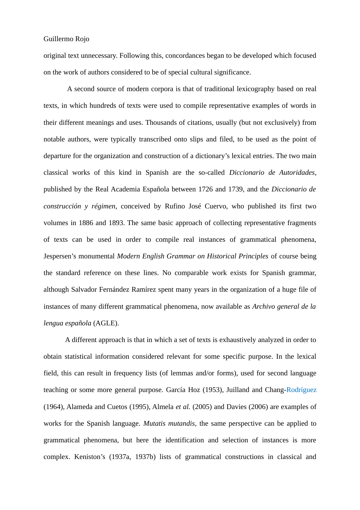original text unnecessary. Following this, concordances began to be developed which focused on the work of authors considered to be of special cultural significance.

 A second source of modern corpora is that of traditional lexicography based on real texts, in which hundreds of texts were used to compile representative examples of words in their different meanings and uses. Thousands of citations, usually (but not exclusively) from notable authors, were typically transcribed onto slips and filed, to be used as the point of departure for the organization and construction of a dictionary's lexical entries. The two main classical works of this kind in Spanish are the so-called *Diccionario de Autoridades*, published by the Real Academia Española between 1726 and 1739, and the *Diccionario de construcción y régimen*, conceived by Rufino José Cuervo, who published its first two volumes in 1886 and 1893. The same basic approach of collecting representative fragments of texts can be used in order to compile real instances of grammatical phenomena, Jespersen's monumental *Modern English Grammar on Historical Principles* of course being the standard reference on these lines. No comparable work exists for Spanish grammar, although Salvador Fernández Ramírez spent many years in the organization of a huge file of instances of many different grammatical phenomena, now available as *Archivo general de la lengua española* (AGLE).

A different approach is that in which a set of texts is exhaustively analyzed in order to obtain statistical information considered relevant for some specific purpose. In the lexical field, this can result in frequency lists (of lemmas and/or forms), used for second language teaching or some more general purpose. García Hoz (1953), Juilland and Chang-Rodríguez (1964), Alameda and Cuetos (1995), Almela *et al.* (2005) and Davies (2006) are examples of works for the Spanish language. *Mutatis mutandis*, the same perspective can be applied to grammatical phenomena, but here the identification and selection of instances is more complex. Keniston's (1937a, 1937b) lists of grammatical constructions in classical and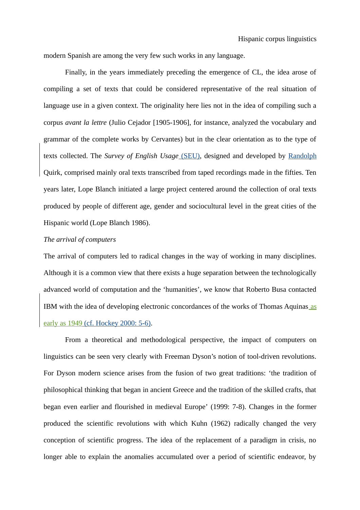modern Spanish are among the very few such works in any language.

Finally, in the years immediately preceding the emergence of CL, the idea arose of compiling a set of texts that could be considered representative of the real situation of language use in a given context. The originality here lies not in the idea of compiling such a corpus *avant la lettre* (Julio Cejador [1905-1906], for instance, analyzed the vocabulary and grammar of the complete works by Cervantes) but in the clear orientation as to the type of texts collected. The *Survey of English Usage* (SEU), designed and developed by Randolph Quirk, comprised mainly oral texts transcribed from taped recordings made in the fifties. Ten years later, Lope Blanch initiated a large project centered around the collection of oral texts produced by people of different age, gender and sociocultural level in the great cities of the Hispanic world (Lope Blanch 1986).

# *The arrival of computers*

The arrival of computers led to radical changes in the way of working in many disciplines. Although it is a common view that there exists a huge separation between the technologically advanced world of computation and the 'humanities', we know that Roberto Busa contacted IBM with the idea of developing electronic concordances of the works of Thomas Aquinas as early as 1949 (cf. Hockey 2000: 5-6).

From a theoretical and methodological perspective, the impact of computers on linguistics can be seen very clearly with Freeman Dyson's notion of tool-driven revolutions. For Dyson modern science arises from the fusion of two great traditions: ʻthe tradition of philosophical thinking that began in ancient Greece and the tradition of the skilled crafts, that began even earlier and flourished in medieval Europe' (1999: 7-8). Changes in the former produced the scientific revolutions with which Kuhn (1962) radically changed the very conception of scientific progress. The idea of the replacement of a paradigm in crisis, no longer able to explain the anomalies accumulated over a period of scientific endeavor, by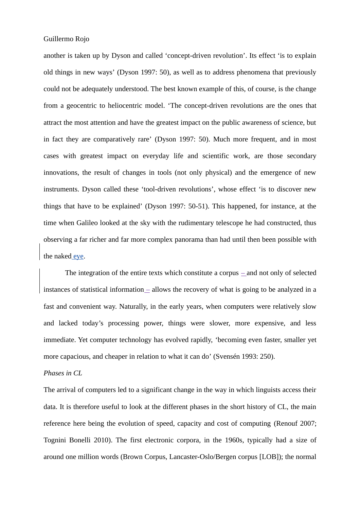another is taken up by Dyson and called 'concept-driven revolution'. Its effect ʻis to explain old things in new ways' (Dyson 1997: 50), as well as to address phenomena that previously could not be adequately understood. The best known example of this, of course, is the change from a geocentric to heliocentric model. ʻThe concept-driven revolutions are the ones that attract the most attention and have the greatest impact on the public awareness of science, but in fact they are comparatively rare' (Dyson 1997: 50). Much more frequent, and in most cases with greatest impact on everyday life and scientific work, are those secondary innovations, the result of changes in tools (not only physical) and the emergence of new instruments. Dyson called these 'tool-driven revolutions', whose effect ʻis to discover new things that have to be explained' (Dyson 1997: 50-51). This happened, for instance, at the time when Galileo looked at the sky with the rudimentary telescope he had constructed, thus observing a far richer and far more complex panorama than had until then been possible with the naked eye.

The integration of the entire texts which constitute a corpus  $-$  and not only of selected instances of statistical information $\equiv$  allows the recovery of what is going to be analyzed in a fast and convenient way. Naturally, in the early years, when computers were relatively slow and lacked today's processing power, things were slower, more expensive, and less immediate. Yet computer technology has evolved rapidly, ʻbecoming even faster, smaller yet more capacious, and cheaper in relation to what it can do' (Svensén 1993: 250).

# *Phases in CL*

The arrival of computers led to a significant change in the way in which linguists access their data. It is therefore useful to look at the different phases in the short history of CL, the main reference here being the evolution of speed, capacity and cost of computing (Renouf 2007; Tognini Bonelli 2010). The first electronic corpora, in the 1960s, typically had a size of around one million words (Brown Corpus, Lancaster-Oslo/Bergen corpus [LOB]); the normal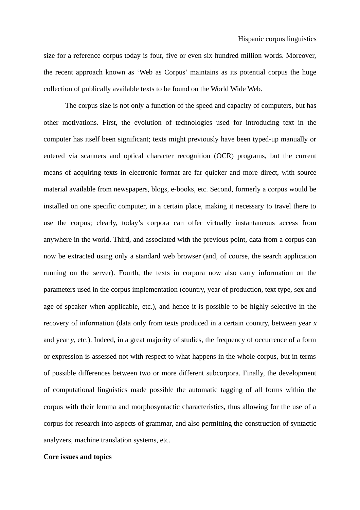size for a reference corpus today is four, five or even six hundred million words. Moreover, the recent approach known as 'Web as Corpus' maintains as its potential corpus the huge collection of publically available texts to be found on the World Wide Web.

The corpus size is not only a function of the speed and capacity of computers, but has other motivations. First, the evolution of technologies used for introducing text in the computer has itself been significant; texts might previously have been typed-up manually or entered via scanners and optical character recognition (OCR) programs, but the current means of acquiring texts in electronic format are far quicker and more direct, with source material available from newspapers, blogs, e-books, etc. Second, formerly a corpus would be installed on one specific computer, in a certain place, making it necessary to travel there to use the corpus; clearly, today's corpora can offer virtually instantaneous access from anywhere in the world. Third, and associated with the previous point, data from a corpus can now be extracted using only a standard web browser (and, of course, the search application running on the server). Fourth, the texts in corpora now also carry information on the parameters used in the corpus implementation (country, year of production, text type, sex and age of speaker when applicable, etc.), and hence it is possible to be highly selective in the recovery of information (data only from texts produced in a certain country, between year *x* and year *y*, etc.). Indeed, in a great majority of studies, the frequency of occurrence of a form or expression is assessed not with respect to what happens in the whole corpus, but in terms of possible differences between two or more different subcorpora. Finally, the development of computational linguistics made possible the automatic tagging of all forms within the corpus with their lemma and morphosyntactic characteristics, thus allowing for the use of a corpus for research into aspects of grammar, and also permitting the construction of syntactic analyzers, machine translation systems, etc.

# **Core issues and topics**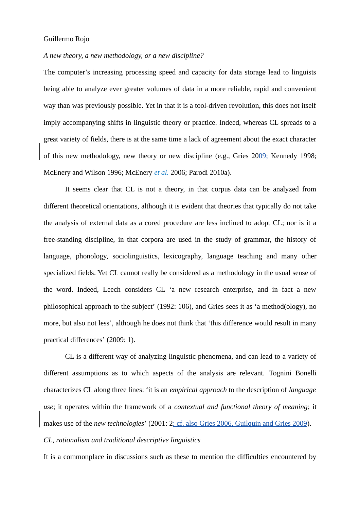# *A new theory, a new methodology, or a new discipline?*

The computer's increasing processing speed and capacity for data storage lead to linguists being able to analyze ever greater volumes of data in a more reliable, rapid and convenient way than was previously possible. Yet in that it is a tool-driven revolution, this does not itself imply accompanying shifts in linguistic theory or practice. Indeed, whereas CL spreads to a great variety of fields, there is at the same time a lack of agreement about the exact character of this new methodology, new theory or new discipline (e.g., Gries 2009; Kennedy 1998; McEnery and Wilson 1996; McEnery *et al.* 2006; Parodi 2010a).

It seems clear that CL is not a theory, in that corpus data can be analyzed from different theoretical orientations, although it is evident that theories that typically do not take the analysis of external data as a cored procedure are less inclined to adopt CL; nor is it a free-standing discipline, in that corpora are used in the study of grammar, the history of language, phonology, sociolinguistics, lexicography, language teaching and many other specialized fields. Yet CL cannot really be considered as a methodology in the usual sense of the word. Indeed, Leech considers CL ʻa new research enterprise, and in fact a new philosophical approach to the subject' (1992: 106), and Gries sees it as ʻa method(ology), no more, but also not less', although he does not think that ʻthis difference would result in many practical differences' (2009: 1).

CL is a different way of analyzing linguistic phenomena, and can lead to a variety of different assumptions as to which aspects of the analysis are relevant. Tognini Bonelli characterizes CL along three lines: ʻit is an *empirical approach* to the description of *language use*; it operates within the framework of a *contextual and functional theory of meaning*; it makes use of the *new technologies*' (2001: 2; cf. also Gries 2006, Guilquin and Gries 2009).

# *CL, rationalism and traditional descriptive linguistics*

It is a commonplace in discussions such as these to mention the difficulties encountered by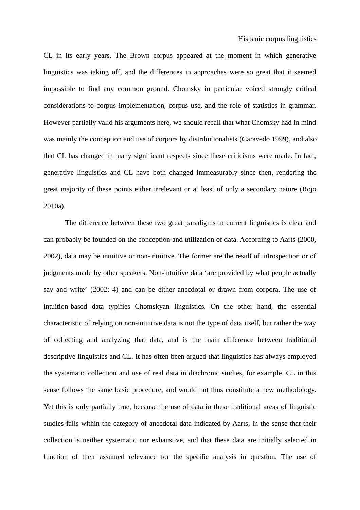CL in its early years. The Brown corpus appeared at the moment in which generative linguistics was taking off, and the differences in approaches were so great that it seemed impossible to find any common ground. Chomsky in particular voiced strongly critical considerations to corpus implementation, corpus use, and the role of statistics in grammar. However partially valid his arguments here, we should recall that what Chomsky had in mind was mainly the conception and use of corpora by distributionalists (Caravedo 1999), and also that CL has changed in many significant respects since these criticisms were made. In fact, generative linguistics and CL have both changed immeasurably since then, rendering the great majority of these points either irrelevant or at least of only a secondary nature (Rojo 2010a).

The difference between these two great paradigms in current linguistics is clear and can probably be founded on the conception and utilization of data. According to Aarts (2000, 2002), data may be intuitive or non-intuitive. The former are the result of introspection or of judgments made by other speakers. Non-intuitive data ʻare provided by what people actually say and write' (2002: 4) and can be either anecdotal or drawn from corpora. The use of intuition-based data typifies Chomskyan linguistics. On the other hand, the essential characteristic of relying on non-intuitive data is not the type of data itself, but rather the way of collecting and analyzing that data, and is the main difference between traditional descriptive linguistics and CL. It has often been argued that linguistics has always employed the systematic collection and use of real data in diachronic studies, for example. CL in this sense follows the same basic procedure, and would not thus constitute a new methodology. Yet this is only partially true, because the use of data in these traditional areas of linguistic studies falls within the category of anecdotal data indicated by Aarts, in the sense that their collection is neither systematic nor exhaustive, and that these data are initially selected in function of their assumed relevance for the specific analysis in question. The use of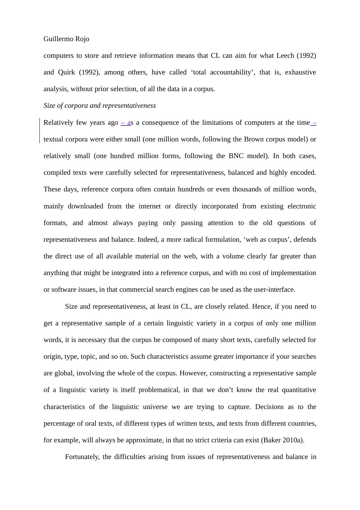computers to store and retrieve information means that CL can aim for what Leech (1992) and Quirk (1992), among others, have called ʻtotal accountability', that is, exhaustive analysis, without prior selection, of all the data in a corpus.

# *Size of corpora and representativeness*

Relatively few years ago  $-\alpha$  as a consequence of the limitations of computers at the time  $-\alpha$ textual corpora were either small (one million words, following the Brown corpus model) or relatively small (one hundred million forms, following the BNC model). In both cases, compiled texts were carefully selected for representativeness, balanced and highly encoded. These days, reference corpora often contain hundreds or even thousands of million words, mainly downloaded from the internet or directly incorporated from existing electronic formats, and almost always paying only passing attention to the old questions of representativeness and balance. Indeed, a more radical formulation, 'web as corpus', defends the direct use of all available material on the web, with a volume clearly far greater than anything that might be integrated into a reference corpus, and with no cost of implementation or software issues, in that commercial search engines can be used as the user-interface.

Size and representativeness, at least in CL, are closely related. Hence, if you need to get a representative sample of a certain linguistic variety in a corpus of only one million words, it is necessary that the corpus be composed of many short texts, carefully selected for origin, type, topic, and so on. Such characteristics assume greater importance if your searches are global, involving the whole of the corpus. However, constructing a representative sample of a linguistic variety is itself problematical, in that we don't know the real quantitative characteristics of the linguistic universe we are trying to capture. Decisions as to the percentage of oral texts, of different types of written texts, and texts from different countries, for example, will always be approximate, in that no strict criteria can exist (Baker 2010a).

Fortunately, the difficulties arising from issues of representativeness and balance in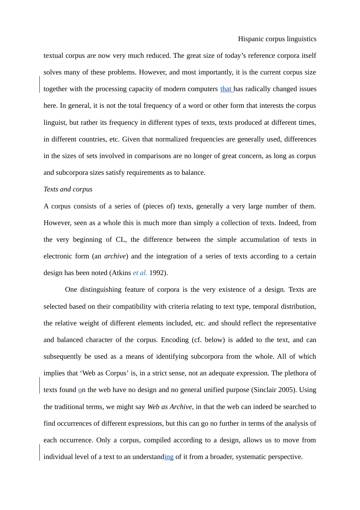textual corpus are now very much reduced. The great size of today's reference corpora itself solves many of these problems. However, and most importantly, it is the current corpus size together with the processing capacity of modern computers that has radically changed issues here. In general, it is not the total frequency of a word or other form that interests the corpus linguist, but rather its frequency in different types of texts, texts produced at different times, in different countries, etc. Given that normalized frequencies are generally used, differences in the sizes of sets involved in comparisons are no longer of great concern, as long as corpus and subcorpora sizes satisfy requirements as to balance.

### *Texts and corpus*

A corpus consists of a series of (pieces of) texts, generally a very large number of them. However, seen as a whole this is much more than simply a collection of texts. Indeed, from the very beginning of CL, the difference between the simple accumulation of texts in electronic form (an *archive*) and the integration of a series of texts according to a certain design has been noted (Atkins *et al.* 1992).

One distinguishing feature of corpora is the very existence of a design. Texts are selected based on their compatibility with criteria relating to text type, temporal distribution, the relative weight of different elements included, etc. and should reflect the representative and balanced character of the corpus. Encoding (cf. below) is added to the text, and can subsequently be used as a means of identifying subcorpora from the whole. All of which implies that ʻWeb as Corpus' is, in a strict sense, not an adequate expression. The plethora of texts found on the web have no design and no general unified purpose (Sinclair 2005). Using the traditional terms, we might say *Web as Archive*, in that the web can indeed be searched to find occurrences of different expressions, but this can go no further in terms of the analysis of each occurrence. Only a corpus, compiled according to a design, allows us to move from individual level of a text to an understanding of it from a broader, systematic perspective.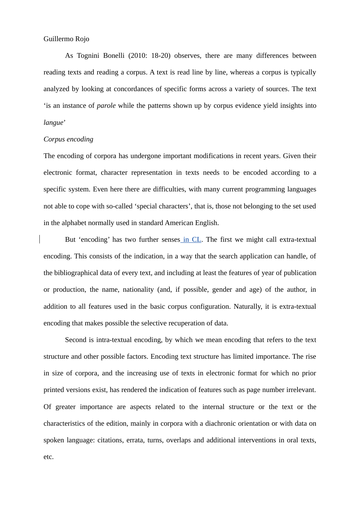As Tognini Bonelli (2010: 18-20) observes, there are many differences between reading texts and reading a corpus. A text is read line by line, whereas a corpus is typically analyzed by looking at concordances of specific forms across a variety of sources. The text ʻis an instance of *parole* while the patterns shown up by corpus evidence yield insights into *langue*'

# *Corpus encoding*

The encoding of corpora has undergone important modifications in recent years. Given their electronic format, character representation in texts needs to be encoded according to a specific system. Even here there are difficulties, with many current programming languages not able to cope with so-called 'special characters', that is, those not belonging to the set used in the alphabet normally used in standard American English.

But 'encoding' has two further senses in CL. The first we might call extra-textual encoding. This consists of the indication, in a way that the search application can handle, of the bibliographical data of every text, and including at least the features of year of publication or production, the name, nationality (and, if possible, gender and age) of the author, in addition to all features used in the basic corpus configuration. Naturally, it is extra-textual encoding that makes possible the selective recuperation of data.

Second is intra-textual encoding, by which we mean encoding that refers to the text structure and other possible factors. Encoding text structure has limited importance. The rise in size of corpora, and the increasing use of texts in electronic format for which no prior printed versions exist, has rendered the indication of features such as page number irrelevant. Of greater importance are aspects related to the internal structure or the text or the characteristics of the edition, mainly in corpora with a diachronic orientation or with data on spoken language: citations, errata, turns, overlaps and additional interventions in oral texts, etc.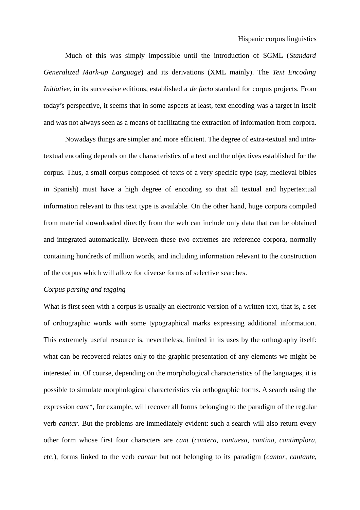Much of this was simply impossible until the introduction of SGML (*Standard Generalized Mark-up Language*) and its derivations (XML mainly). The *Text Encoding Initiative*, in its successive editions, established a *de facto* standard for corpus projects. From today's perspective, it seems that in some aspects at least, text encoding was a target in itself and was not always seen as a means of facilitating the extraction of information from corpora.

Nowadays things are simpler and more efficient. The degree of extra-textual and intratextual encoding depends on the characteristics of a text and the objectives established for the corpus. Thus, a small corpus composed of texts of a very specific type (say, medieval bibles in Spanish) must have a high degree of encoding so that all textual and hypertextual information relevant to this text type is available. On the other hand, huge corpora compiled from material downloaded directly from the web can include only data that can be obtained and integrated automatically. Between these two extremes are reference corpora, normally containing hundreds of million words, and including information relevant to the construction of the corpus which will allow for diverse forms of selective searches.

# *Corpus parsing and tagging*

What is first seen with a corpus is usually an electronic version of a written text, that is, a set of orthographic words with some typographical marks expressing additional information. This extremely useful resource is, nevertheless, limited in its uses by the orthography itself: what can be recovered relates only to the graphic presentation of any elements we might be interested in. Of course, depending on the morphological characteristics of the languages, it is possible to simulate morphological characteristics via orthographic forms. A search using the expression *cant\**, for example, will recover all forms belonging to the paradigm of the regular verb *cantar*. But the problems are immediately evident: such a search will also return every other form whose first four characters are *cant* (*cantera*, *cantuesa*, *cantina*, *cantimplora*, etc.), forms linked to the verb *cantar* but not belonging to its paradigm (*cantor*, *cantante*,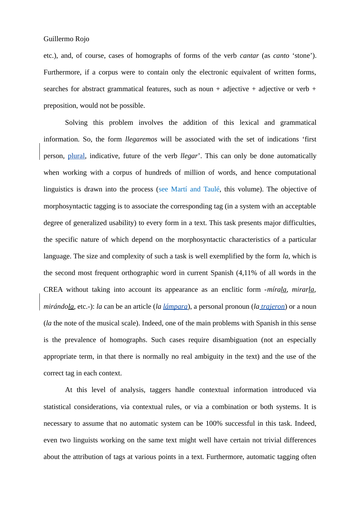etc.), and, of course, cases of homographs of forms of the verb *cantar* (as *canto* 'stone'). Furthermore, if a corpus were to contain only the electronic equivalent of written forms, searches for abstract grammatical features, such as noun + adjective + adjective or verb + preposition, would not be possible.

Solving this problem involves the addition of this lexical and grammatical information. So, the form *llegaremos* will be associated with the set of indications 'first person, plural, indicative, future of the verb *llegar*'. This can only be done automatically when working with a corpus of hundreds of million of words, and hence computational linguistics is drawn into the process (see Martí and Taulé, this volume). The objective of morphosyntactic tagging is to associate the corresponding tag (in a system with an acceptable degree of generalized usability) to every form in a text. This task presents major difficulties, the specific nature of which depend on the morphosyntactic characteristics of a particular language. The size and complexity of such a task is well exemplified by the form *la*, which is the second most frequent orthographic word in current Spanish (4,11% of all words in the CREA without taking into account its appearance as an enclitic form -*mírala, mirarla, mirándola*, etc.*-*): *la* can be an article (*la lámpara*), a personal pronoun (*la trajeron*) or a noun (*la* the note of the musical scale). Indeed, one of the main problems with Spanish in this sense is the prevalence of homographs. Such cases require disambiguation (not an especially appropriate term, in that there is normally no real ambiguity in the text) and the use of the correct tag in each context.

At this level of analysis, taggers handle contextual information introduced via statistical considerations, via contextual rules, or via a combination or both systems. It is necessary to assume that no automatic system can be 100% successful in this task. Indeed, even two linguists working on the same text might well have certain not trivial differences about the attribution of tags at various points in a text. Furthermore, automatic tagging often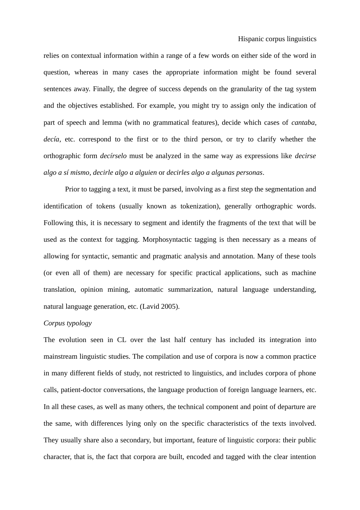relies on contextual information within a range of a few words on either side of the word in question, whereas in many cases the appropriate information might be found several sentences away. Finally, the degree of success depends on the granularity of the tag system and the objectives established. For example, you might try to assign only the indication of part of speech and lemma (with no grammatical features), decide which cases of *cantaba*, *decía*, etc. correspond to the first or to the third person, or try to clarify whether the orthographic form *decírselo* must be analyzed in the same way as expressions like *decirse algo a sí mismo*, *decirle algo a alguien* or *decirles algo a algunas personas*.

Prior to tagging a text, it must be parsed, involving as a first step the segmentation and identification of tokens (usually known as tokenization), generally orthographic words. Following this, it is necessary to segment and identify the fragments of the text that will be used as the context for tagging. Morphosyntactic tagging is then necessary as a means of allowing for syntactic, semantic and pragmatic analysis and annotation. Many of these tools (or even all of them) are necessary for specific practical applications, such as machine translation, opinion mining, automatic summarization, natural language understanding, natural language generation, etc. (Lavid 2005).

# *Corpus typology*

The evolution seen in CL over the last half century has included its integration into mainstream linguistic studies. The compilation and use of corpora is now a common practice in many different fields of study, not restricted to linguistics, and includes corpora of phone calls, patient-doctor conversations, the language production of foreign language learners, etc. In all these cases, as well as many others, the technical component and point of departure are the same, with differences lying only on the specific characteristics of the texts involved. They usually share also a secondary, but important, feature of linguistic corpora: their public character, that is, the fact that corpora are built, encoded and tagged with the clear intention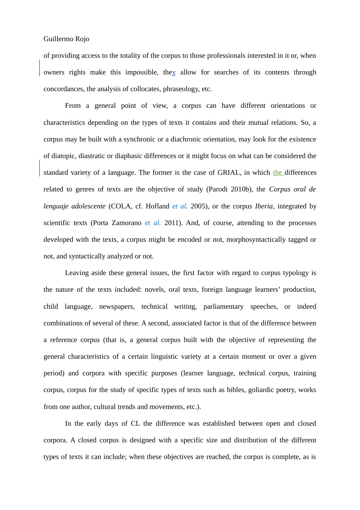of providing access to the totality of the corpus to those professionals interested in it or, when owners rights make this impossible, they allow for searches of its contents through concordances, the analysis of collocates, phraseology, etc.

From a general point of view, a corpus can have different orientations or characteristics depending on the types of texts it contains and their mutual relations. So, a corpus may be built with a synchronic or a diachronic orientation, may look for the existence of diatopic, diastratic or diaphasic differences or it might focus on what can be considered the standard variety of a language. The former is the case of GRIAL, in which the differences related to genres of texts are the objective of study (Parodi 2010b), the *Corpus oral de lenguaje adolescente* (COLA, cf. Hofland *et al.* 2005), or the corpus *Iberia*, integrated by scientific texts (Porta Zamorano *et al.* 2011). And, of course, attending to the processes developed with the texts, a corpus might be encoded or not, morphosyntactically tagged or not, and syntactically analyzed or not.

Leaving aside these general issues, the first factor with regard to corpus typology is the nature of the texts included: novels, oral texts, foreign language learners' production, child language, newspapers, technical writing, parliamentary speeches, or indeed combinations of several of these. A second, associated factor is that of the difference between a reference corpus (that is, a general corpus built with the objective of representing the general characteristics of a certain linguistic variety at a certain moment or over a given period) and corpora with specific purposes (learner language, technical corpus, training corpus, corpus for the study of specific types of texts such as bibles, goliardic poetry, works from one author, cultural trends and movements, etc.).

In the early days of CL the difference was established between open and closed corpora. A closed corpus is designed with a specific size and distribution of the different types of texts it can include; when these objectives are reached, the corpus is complete, as is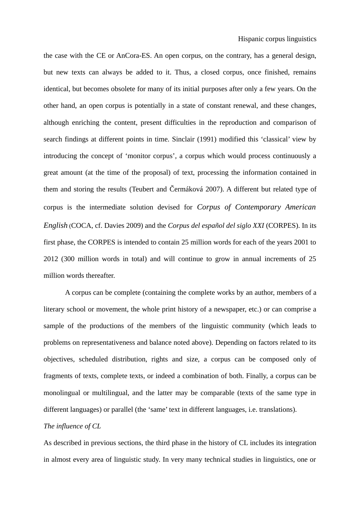the case with the CE or AnCora-ES. An open corpus, on the contrary, has a general design, but new texts can always be added to it. Thus, a closed corpus, once finished, remains identical, but becomes obsolete for many of its initial purposes after only a few years. On the other hand, an open corpus is potentially in a state of constant renewal, and these changes, although enriching the content, present difficulties in the reproduction and comparison of search findings at different points in time. Sinclair (1991) modified this ʻclassical' view by introducing the concept of 'monitor corpus', a corpus which would process continuously a great amount (at the time of the proposal) of text, processing the information contained in them and storing the results (Teubert and Čermáková 2007). A different but related type of corpus is the intermediate solution devised for *Corpus of Contemporary American English* (COCA, cf. Davies 2009) and the *Corpus del español del siglo XXI* (CORPES). In its first phase, the CORPES is intended to contain 25 million words for each of the years 2001 to 2012 (300 million words in total) and will continue to grow in annual increments of 25 million words thereafter.

A corpus can be complete (containing the complete works by an author, members of a literary school or movement, the whole print history of a newspaper, etc.) or can comprise a sample of the productions of the members of the linguistic community (which leads to problems on representativeness and balance noted above). Depending on factors related to its objectives, scheduled distribution, rights and size, a corpus can be composed only of fragments of texts, complete texts, or indeed a combination of both. Finally, a corpus can be monolingual or multilingual, and the latter may be comparable (texts of the same type in different languages) or parallel (the 'same' text in different languages, i.e. translations).

## *The influence of CL*

As described in previous sections, the third phase in the history of CL includes its integration in almost every area of linguistic study. In very many technical studies in linguistics, one or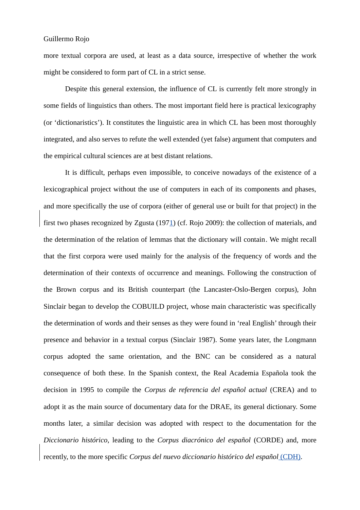more textual corpora are used, at least as a data source, irrespective of whether the work might be considered to form part of CL in a strict sense.

Despite this general extension, the influence of CL is currently felt more strongly in some fields of linguistics than others. The most important field here is practical lexicography (or 'dictionaristics'). It constitutes the linguistic area in which CL has been most thoroughly integrated, and also serves to refute the well extended (yet false) argument that computers and the empirical cultural sciences are at best distant relations.

It is difficult, perhaps even impossible, to conceive nowadays of the existence of a lexicographical project without the use of computers in each of its components and phases, and more specifically the use of corpora (either of general use or built for that project) in the first two phases recognized by Zgusta (1971) (cf. Rojo 2009): the collection of materials, and the determination of the relation of lemmas that the dictionary will contain. We might recall that the first corpora were used mainly for the analysis of the frequency of words and the determination of their contexts of occurrence and meanings. Following the construction of the Brown corpus and its British counterpart (the Lancaster-Oslo-Bergen corpus), John Sinclair began to develop the COBUILD project, whose main characteristic was specifically the determination of words and their senses as they were found in 'real English' through their presence and behavior in a textual corpus (Sinclair 1987). Some years later, the Longmann corpus adopted the same orientation, and the BNC can be considered as a natural consequence of both these. In the Spanish context, the Real Academia Española took the decision in 1995 to compile the *Corpus de referencia del español actual* (CREA) and to adopt it as the main source of documentary data for the DRAE, its general dictionary. Some months later, a similar decision was adopted with respect to the documentation for the *Diccionario histórico*, leading to the *Corpus diacrónico del español* (CORDE) and, more recently, to the more specific *Corpus del nuevo diccionario histórico del español* (CDH).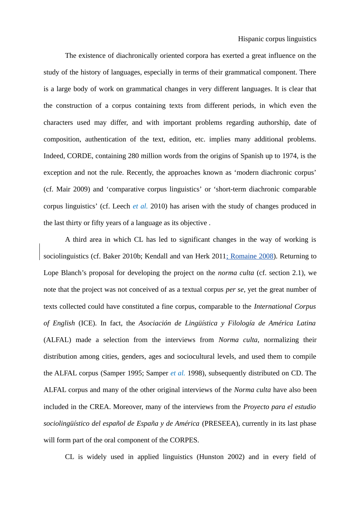The existence of diachronically oriented corpora has exerted a great influence on the study of the history of languages, especially in terms of their grammatical component. There is a large body of work on grammatical changes in very different languages. It is clear that the construction of a corpus containing texts from different periods, in which even the characters used may differ, and with important problems regarding authorship, date of composition, authentication of the text, edition, etc. implies many additional problems. Indeed, CORDE, containing 280 million words from the origins of Spanish up to 1974, is the exception and not the rule. Recently, the approaches known as ʻmodern diachronic corpus' (cf. Mair 2009) and ʻcomparative corpus linguistics' or ʻshort-term diachronic comparable corpus linguistics' (cf. Leech *et al.* 2010) has arisen with the study of changes produced in the last thirty or fifty years of a language as its objective .

A third area in which CL has led to significant changes in the way of working is sociolinguistics (cf. Baker 2010b; Kendall and van Herk 2011; Romaine 2008). Returning to Lope Blanch's proposal for developing the project on the *norma culta* (cf. section 2.1), we note that the project was not conceived of as a textual corpus *per se*, yet the great number of texts collected could have constituted a fine corpus, comparable to the *International Corpus of English* (ICE). In fact, the *Asociación de Lingüística y Filología de América Latina* (ALFAL) made a selection from the interviews from *Norma culta*, normalizing their distribution among cities, genders, ages and sociocultural levels, and used them to compile the ALFAL corpus (Samper 1995; Samper *et al.* 1998), subsequently distributed on CD. The ALFAL corpus and many of the other original interviews of the *Norma culta* have also been included in the CREA. Moreover, many of the interviews from the *Proyecto para el estudio sociolingüístico del español de España y de América* (PRESEEA), currently in its last phase will form part of the oral component of the CORPES.

CL is widely used in applied linguistics (Hunston 2002) and in every field of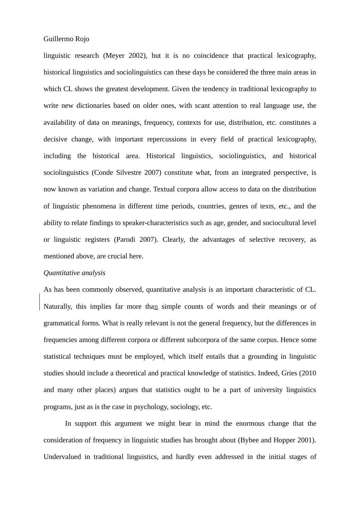linguistic research (Meyer 2002), but it is no coincidence that practical lexicography, historical linguistics and sociolinguistics can these days be considered the three main areas in which CL shows the greatest development. Given the tendency in traditional lexicography to write new dictionaries based on older ones, with scant attention to real language use, the availability of data on meanings, frequency, contexts for use, distribution, etc. constitutes a decisive change, with important repercussions in every field of practical lexicography, including the historical area. Historical linguistics, sociolinguistics, and historical sociolinguistics (Conde Silvestre 2007) constitute what, from an integrated perspective, is now known as variation and change. Textual corpora allow access to data on the distribution of linguistic phenomena in different time periods, countries, genres of texts, etc., and the ability to relate findings to speaker-characteristics such as age, gender, and sociocultural level or linguistic registers (Parodi 2007). Clearly, the advantages of selective recovery, as mentioned above, are crucial here.

### *Quantitative analysis*

As has been commonly observed, quantitative analysis is an important characteristic of CL. Naturally, this implies far more than simple counts of words and their meanings or of grammatical forms. What is really relevant is not the general frequency, but the differences in frequencies among different corpora or different subcorpora of the same corpus. Hence some statistical techniques must be employed, which itself entails that a grounding in linguistic studies should include a theoretical and practical knowledge of statistics. Indeed, Gries (2010 and many other places) argues that statistics ought to be a part of university linguistics programs, just as is the case in psychology, sociology, etc.

In support this argument we might bear in mind the enormous change that the consideration of frequency in linguistic studies has brought about (Bybee and Hopper 2001). Undervalued in traditional linguistics, and hardly even addressed in the initial stages of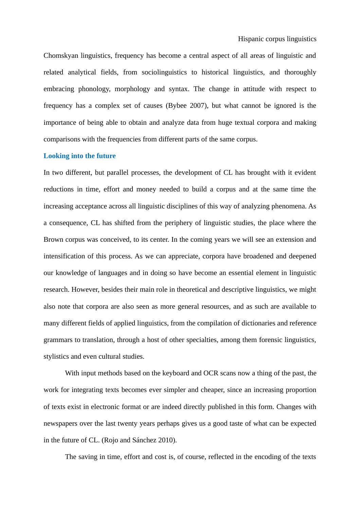Chomskyan linguistics, frequency has become a central aspect of all areas of linguistic and related analytical fields, from sociolinguistics to historical linguistics, and thoroughly embracing phonology, morphology and syntax. The change in attitude with respect to frequency has a complex set of causes (Bybee 2007), but what cannot be ignored is the importance of being able to obtain and analyze data from huge textual corpora and making comparisons with the frequencies from different parts of the same corpus.

# **Looking into the future**

In two different, but parallel processes, the development of CL has brought with it evident reductions in time, effort and money needed to build a corpus and at the same time the increasing acceptance across all linguistic disciplines of this way of analyzing phenomena. As a consequence, CL has shifted from the periphery of linguistic studies, the place where the Brown corpus was conceived, to its center. In the coming years we will see an extension and intensification of this process. As we can appreciate, corpora have broadened and deepened our knowledge of languages and in doing so have become an essential element in linguistic research. However, besides their main role in theoretical and descriptive linguistics, we might also note that corpora are also seen as more general resources, and as such are available to many different fields of applied linguistics, from the compilation of dictionaries and reference grammars to translation, through a host of other specialties, among them forensic linguistics, stylistics and even cultural studies.

With input methods based on the keyboard and OCR scans now a thing of the past, the work for integrating texts becomes ever simpler and cheaper, since an increasing proportion of texts exist in electronic format or are indeed directly published in this form. Changes with newspapers over the last twenty years perhaps gives us a good taste of what can be expected in the future of CL. (Rojo and Sánchez 2010).

The saving in time, effort and cost is, of course, reflected in the encoding of the texts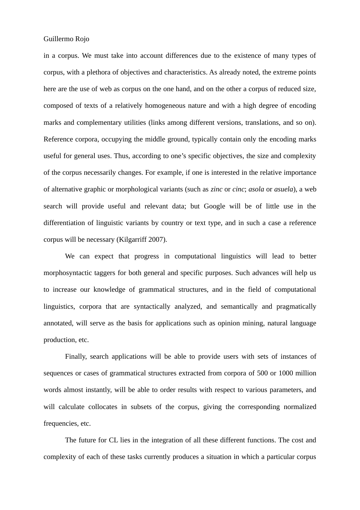in a corpus. We must take into account differences due to the existence of many types of corpus, with a plethora of objectives and characteristics. As already noted, the extreme points here are the use of web as corpus on the one hand, and on the other a corpus of reduced size, composed of texts of a relatively homogeneous nature and with a high degree of encoding marks and complementary utilities (links among different versions, translations, and so on). Reference corpora, occupying the middle ground, typically contain only the encoding marks useful for general uses. Thus, according to one's specific objectives, the size and complexity of the corpus necessarily changes. For example, if one is interested in the relative importance of alternative graphic or morphological variants (such as *zinc* or *cinc*; *asola* or *asuela*), a web search will provide useful and relevant data; but Google will be of little use in the differentiation of linguistic variants by country or text type, and in such a case a reference corpus will be necessary (Kilgarriff 2007).

We can expect that progress in computational linguistics will lead to better morphosyntactic taggers for both general and specific purposes. Such advances will help us to increase our knowledge of grammatical structures, and in the field of computational linguistics, corpora that are syntactically analyzed, and semantically and pragmatically annotated, will serve as the basis for applications such as opinion mining, natural language production, etc.

Finally, search applications will be able to provide users with sets of instances of sequences or cases of grammatical structures extracted from corpora of 500 or 1000 million words almost instantly, will be able to order results with respect to various parameters, and will calculate collocates in subsets of the corpus, giving the corresponding normalized frequencies, etc.

The future for CL lies in the integration of all these different functions. The cost and complexity of each of these tasks currently produces a situation in which a particular corpus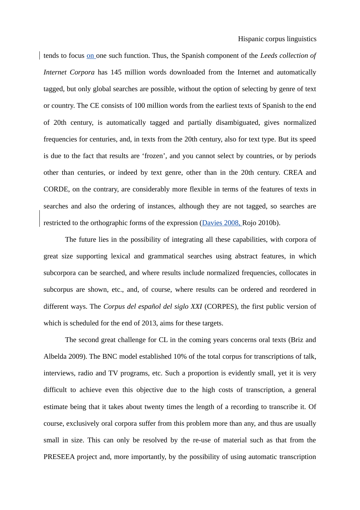tends to focus on one such function. Thus, the Spanish component of the *Leeds collection of Internet Corpora* has 145 million words downloaded from the Internet and automatically tagged, but only global searches are possible, without the option of selecting by genre of text or country. The CE consists of 100 million words from the earliest texts of Spanish to the end of 20th century, is automatically tagged and partially disambiguated, gives normalized frequencies for centuries, and, in texts from the 20th century, also for text type. But its speed is due to the fact that results are 'frozen', and you cannot select by countries, or by periods other than centuries, or indeed by text genre, other than in the 20th century. CREA and CORDE, on the contrary, are considerably more flexible in terms of the features of texts in searches and also the ordering of instances, although they are not tagged, so searches are restricted to the orthographic forms of the expression (Davies 2008, Rojo 2010b).

The future lies in the possibility of integrating all these capabilities, with corpora of great size supporting lexical and grammatical searches using abstract features, in which subcorpora can be searched, and where results include normalized frequencies, collocates in subcorpus are shown, etc., and, of course, where results can be ordered and reordered in different ways. The *Corpus del español del siglo XXI* (CORPES), the first public version of which is scheduled for the end of 2013, aims for these targets.

The second great challenge for CL in the coming years concerns oral texts (Briz and Albelda 2009). The BNC model established 10% of the total corpus for transcriptions of talk, interviews, radio and TV programs, etc. Such a proportion is evidently small, yet it is very difficult to achieve even this objective due to the high costs of transcription, a general estimate being that it takes about twenty times the length of a recording to transcribe it. Of course, exclusively oral corpora suffer from this problem more than any, and thus are usually small in size. This can only be resolved by the re-use of material such as that from the PRESEEA project and, more importantly, by the possibility of using automatic transcription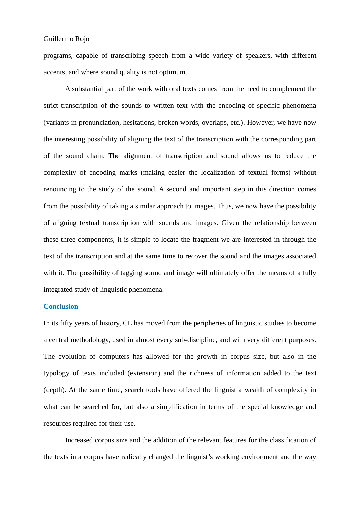programs, capable of transcribing speech from a wide variety of speakers, with different accents, and where sound quality is not optimum.

A substantial part of the work with oral texts comes from the need to complement the strict transcription of the sounds to written text with the encoding of specific phenomena (variants in pronunciation, hesitations, broken words, overlaps, etc.). However, we have now the interesting possibility of aligning the text of the transcription with the corresponding part of the sound chain. The alignment of transcription and sound allows us to reduce the complexity of encoding marks (making easier the localization of textual forms) without renouncing to the study of the sound. A second and important step in this direction comes from the possibility of taking a similar approach to images. Thus, we now have the possibility of aligning textual transcription with sounds and images. Given the relationship between these three components, it is simple to locate the fragment we are interested in through the text of the transcription and at the same time to recover the sound and the images associated with it. The possibility of tagging sound and image will ultimately offer the means of a fully integrated study of linguistic phenomena.

# **Conclusion**

In its fifty years of history, CL has moved from the peripheries of linguistic studies to become a central methodology, used in almost every sub-discipline, and with very different purposes. The evolution of computers has allowed for the growth in corpus size, but also in the typology of texts included (extension) and the richness of information added to the text (depth). At the same time, search tools have offered the linguist a wealth of complexity in what can be searched for, but also a simplification in terms of the special knowledge and resources required for their use.

Increased corpus size and the addition of the relevant features for the classification of the texts in a corpus have radically changed the linguist's working environment and the way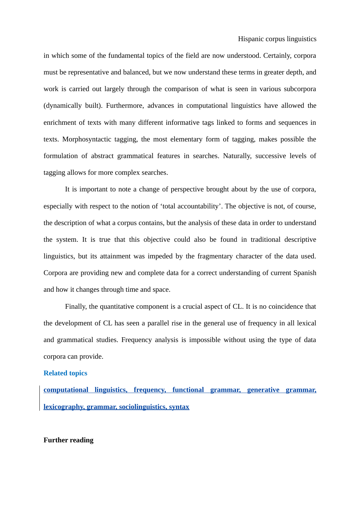in which some of the fundamental topics of the field are now understood. Certainly, corpora must be representative and balanced, but we now understand these terms in greater depth, and work is carried out largely through the comparison of what is seen in various subcorpora (dynamically built). Furthermore, advances in computational linguistics have allowed the enrichment of texts with many different informative tags linked to forms and sequences in texts. Morphosyntactic tagging, the most elementary form of tagging, makes possible the formulation of abstract grammatical features in searches. Naturally, successive levels of tagging allows for more complex searches.

It is important to note a change of perspective brought about by the use of corpora, especially with respect to the notion of 'total accountability'. The objective is not, of course, the description of what a corpus contains, but the analysis of these data in order to understand the system. It is true that this objective could also be found in traditional descriptive linguistics, but its attainment was impeded by the fragmentary character of the data used. Corpora are providing new and complete data for a correct understanding of current Spanish and how it changes through time and space.

Finally, the quantitative component is a crucial aspect of CL. It is no coincidence that the development of CL has seen a parallel rise in the general use of frequency in all lexical and grammatical studies. Frequency analysis is impossible without using the type of data corpora can provide.

# **Related topics**

**computational linguistics, frequency, functional grammar, generative grammar, lexicography, grammar, sociolinguistics, syntax**

### **Further reading**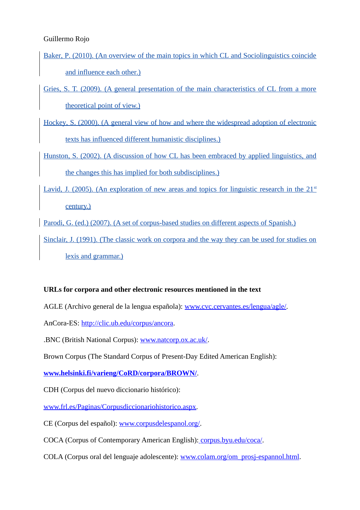- Baker, P. (2010). (An overview of the main topics in which CL and Sociolinguistics coincide and influence each other.)
- Gries, S. T. (2009). (A general presentation of the main characteristics of CL from a more theoretical point of view.)
- Hockey, S. (2000). (A general view of how and where the widespread adoption of electronic texts has influenced different humanistic disciplines.)
- Hunston, S. (2002). (A discussion of how CL has been embraced by applied linguistics, and the changes this has implied for both subdisciplines.)
- Lavid, J. (2005). (An exploration of new areas and topics for linguistic research in the 21<sup>st</sup> century.)
- Parodi, G. (ed.) (2007). (A set of corpus-based studies on different aspects of Spanish.)
	- Sinclair, J. (1991). (The classic work on corpora and the way they can be used for studies on lexis and grammar.)

# **URLs for corpora and other electronic resources mentioned in the text**

- AGLE (Archivo general de la lengua española): [www.cvc.cervantes.es/lengua/agle/.](http://www.cvc.cervantes.es/lengua/agle/)
- AnCora-ES: [http://clic.ub.edu/corpus/ancora.](http://clic.ub.edu/corpus/ancora)
- .BNC (British National Corpus): [www.natcorp.ox.ac.uk/.](http://www.natcorp.ox.ac.uk/)
- Brown Corpus (The Standard Corpus of Present-Day Edited American English):
- **[www.helsinki.fi/varieng/CoRD/corpora/BROWN/](http://www.helsinki.fi/varieng/CoRD/corpora/BROWN/)**.
- CDH (Corpus del nuevo diccionario histórico):
- [www.frl.es/Paginas/Corpusdiccionariohistorico.aspx.](http://www.frl.es/Paginas/Corpusdiccionariohistorico.aspx)
- CE (Corpus del español): [www.corpusdelespanol.org/.](http://www.corpusdelespanol.org/)
- COCA (Corpus of Contemporary American English): [corpus.byu.edu/coca/.](http://corpus.byu.edu/coca/)
- COLA (Corpus oral del lenguaje adolescente): [www.colam.org/om\\_prosj-espannol.html.](http://www.colam.org/om_prosj-espannol.html)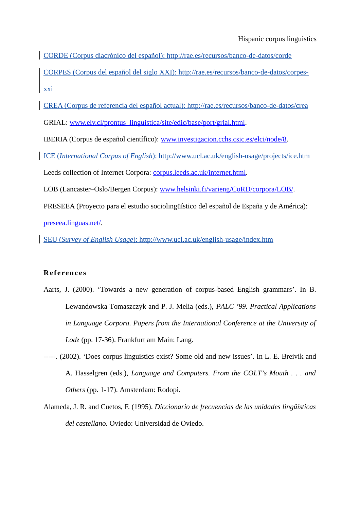CORDE (Corpus diacrónico del español): http://rae.es/recursos/banco-de-datos/corde

CORPES (Corpus del español del siglo XXI): http://rae.es/recursos/banco-de-datos/corpesxxi

CREA (Corpus de referencia del español actual): http://rae.es/recursos/banco-de-datos/crea

GRIAL: [www.elv.cl/prontus\\_linguistica/site/edic/base/port/grial.html.](http://www.elv.cl/prontus_linguistica/site/edic/base/port/grial.html)

IBERIA (Corpus de español científico): [www.investigacion.cchs.csic.es/elci/node/8.](http://www.investigacion.cchs.csic.es/elci/node/8)

ICE (*International Corpus of English*): http://www.ucl.ac.uk/english-usage/projects/ice.htm Leeds collection of Internet Corpora: [corpus.leeds.ac.uk/internet.html.](http://corpus.leeds.ac.uk/internet.html)

LOB (Lancaster–Oslo/Bergen Corpus): [www.helsinki.fi/varieng/CoRD/corpora/LOB/.](http://www.helsinki.fi/varieng/CoRD/corpora/LOB/)

PRESEEA (Proyecto para el estudio sociolingüístico del español de España y de América): [preseea.linguas.net/.](http://preseea.linguas.net/)

SEU (*Survey of English Usage*): http://www.ucl.ac.uk/english-usage/index.htm

# **R e f e re n c e s**

- Aarts, J. (2000). ʻTowards a new generation of corpus-based English grammars'. In B. Lewandowska Tomaszczyk and P. J. Melia (eds.), *PALC '99. Practical Applications in Language Corpora. Papers from the International Conference at the University of Lodz* (pp. 17-36). Frankfurt am Main: Lang.
- -----. (2002). ʻDoes corpus linguistics exist? Some old and new issues'. In L. E. Breivik and A. Hasselgren (eds.), *Language and Computers. From the COLT's Mouth . . . and Others* (pp. 1-17). Amsterdam: Rodopi.
- Alameda, J. R. and Cuetos, F. (1995). *Diccionario de frecuencias de las unidades lingüísticas del castellano.* Oviedo: Universidad de Oviedo.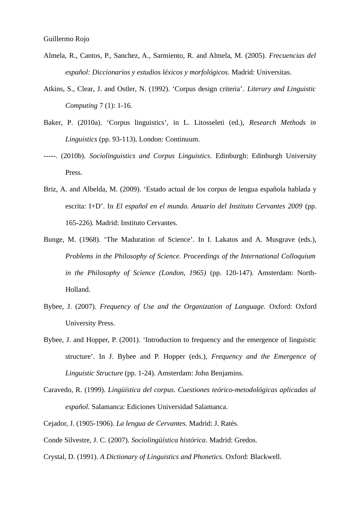- Almela, R., Cantos, P., Sanchez, A., Sarmiento, R. and Almela, M. (2005). *Frecuencias del español: Diccionarios y estudios léxicos y morfológicos.* Madrid: Universitas.
- Atkins, S., Clear, J. and Ostler, N. (1992). ʻCorpus design criteria'. *Literary and Linguistic Computing* 7 (1): 1-16.
- Baker, P. (2010a). ʻCorpus linguistics', in L. Litosseleti (ed.), *Research Methods in Linguistics* (pp. 93-113). London: Continuum.
- -----. (2010b). *Sociolinguistics and Corpus Linguistics*. Edinburgh: Edinburgh University Press.
- Briz, A. and Albelda, M. (2009). ʻEstado actual de los corpus de lengua española hablada y escrita: I+D'. In *El español en el mundo. Anuario del Instituto Cervantes 2009* (pp. 165-226). Madrid: Instituto Cervantes.
- Bunge, M. (1968). ʻThe Maduration of Science'. In I. Lakatos and A. Musgrave (eds.), *Problems in the Philosophy of Science. Proceedings of the International Colloquium in the Philosophy of Science (London, 1965)* (pp. 120-147). Amsterdam: North-Holland.
- Bybee, J. (2007). *Frequency of Use and the Organization of Language.* Oxford: Oxford University Press.
- Bybee, J. and Hopper, P. (2001). ʻIntroduction to frequency and the emergence of linguistic structure'. In J. Bybee and P. Hopper (eds.), *Frequency and the Emergence of Linguistic Structure* (pp. 1-24). Amsterdam: John Benjamins.
- Caravedo, R. (1999). *Lingüística del corpus. Cuestiones teórico-metodológicas aplicadas al español*. Salamanca: Ediciones Universidad Salamanca.
- Cejador, J. (1905-1906). *La lengua de Cervantes.* Madrid: J. Ratés.
- Conde Silvestre, J. C. (2007). *Sociolingüística histórica*. Madrid: Gredos.
- Crystal, D. (1991). *A Dictionary of Linguistics and Phonetics.* Oxford: Blackwell.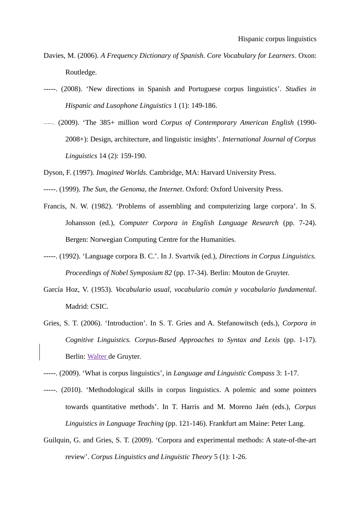- Davies, M. (2006). *A Frequency Dictionary of Spanish. Core Vocabulary for Learners*. Oxon: Routledge.
- -----. (2008). ʻNew directions in Spanish and Portuguese corpus linguistics'. *Studies in Hispanic and Lusophone Linguistics* 1 (1): 149-186.
- -----. (2009). ʻThe 385+ million word *Corpus of Contemporary American English* (1990- 2008+): Design, architecture, and linguistic insights'. *International Journal of Corpus Linguistics* 14 (2): 159-190.

Dyson, F. (1997). *Imagined Worlds.* Cambridge, MA: Harvard University Press.

-----. (1999). *The Sun, the Genoma, the Internet*. Oxford: Oxford University Press.

- Francis, N. W. (1982). ʻProblems of assembling and computerizing large corpora'. In S. Johansson (ed.), *Computer Corpora in English Language Research* (pp. 7-24). Bergen: Norwegian Computing Centre for the Humanities.
- -----. (1992). ʻLanguage corpora B. C.'. In J. Svartvik (ed.), *Directions in Corpus Linguistics. Proceedings of Nobel Symposium 82* (pp. 17-34). Berlin: Mouton de Gruyter.
- García Hoz, V. (1953). *Vocabulario usual, vocabulario común y vocabulario fundamental*. Madrid: CSIC.
- Gries, S. T. (2006). ʻIntroduction'. In S. T. Gries and A. Stefanowitsch (eds.), *Corpora in Cognitive Linguistics. Corpus-Based Approaches to Syntax and Lexis* (pp. 1-17). Berlin: Walter de Gruyter.

-----. (2009). ʻWhat is corpus linguistics', in *Language and Linguistic Compass* 3: 1-17.

- -----. (2010). ʻMethodological skills in corpus linguistics. A polemic and some pointers towards quantitative methods'. In T. Harris and M. Moreno Jaén (eds.), *Corpus Linguistics in Language Teaching* (pp. 121-146). Frankfurt am Maine: Peter Lang.
- Guilquin, G. and Gries, S. T. (2009). ʻCorpora and experimental methods: A state-of-the-art review'. *Corpus Linguistics and Linguistic Theory* 5 (1): 1-26.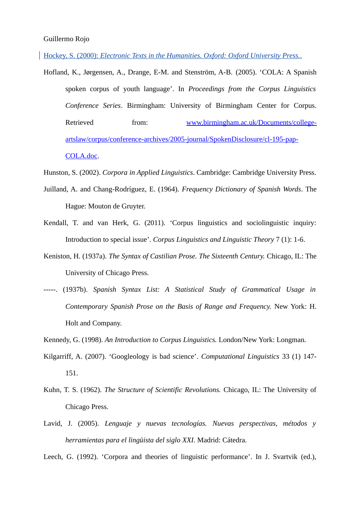Hockey, S. (2000): *Electronic Texts in the Humanities. Oxford: Oxford University Press.*.

Hofland, K., Jørgensen, A., Drange, E-M. and Stenström, A-B. (2005). ʻCOLA: A Spanish spoken corpus of youth language'. In *Proceedings from the Corpus Linguistics Conference Series*. Birmingham: University of Birmingham Center for Corpus*.* Retrieved from: [www.birmingham.ac.uk/Documents/college](http://www.birmingham.ac.uk/Documents/college-artslaw/corpus/conference-archives/2005-journal/SpokenDisclosure/cl-195-pap-COLA.doc)[artslaw/corpus/conference-archives/2005-journal/SpokenDisclosure/cl-195-pap-](http://www.birmingham.ac.uk/Documents/college-artslaw/corpus/conference-archives/2005-journal/SpokenDisclosure/cl-195-pap-COLA.doc)[COLA.doc.](http://www.birmingham.ac.uk/Documents/college-artslaw/corpus/conference-archives/2005-journal/SpokenDisclosure/cl-195-pap-COLA.doc)

Hunston, S. (2002). *Corpora in Applied Linguistics*. Cambridge: Cambridge University Press.

- Juilland, A. and Chang-Rodríguez, E. (1964). *Frequency Dictionary of Spanish Words*. The Hague: Mouton de Gruyter.
- Kendall, T. and van Herk, G. (2011). ʻCorpus linguistics and sociolinguistic inquiry: Introduction to special issue'. *Corpus Linguistics and Linguistic Theory* 7 (1): 1-6.
- Keniston, H. (1937a). *The Syntax of Castilian Prose. The Sixteenth Century.* Chicago, IL: The University of Chicago Press.
- -----. (1937b). *Spanish Syntax List: A Statistical Study of Grammatical Usage in Contemporary Spanish Prose on the Basis of Range and Frequency.* New York: H. Holt and Company.
- Kennedy, G. (1998). *An Introduction to Corpus Linguistics.* London/New York: Longman.
- Kilgarriff, A. (2007). ʻGoogleology is bad science'. *Computational Linguistics* 33 (1) 147- 151.
- Kuhn, T. S. (1962). *The Structure of Scientific Revolutions.* Chicago, IL: The University of Chicago Press.
- Lavid, J. (2005). *Lenguaje y nuevas tecnologías. Nuevas perspectivas, métodos y herramientas para el lingüista del siglo XXI.* Madrid: Cátedra.

Leech, G. (1992). ʻCorpora and theories of linguistic performance'. In J. Svartvik (ed.),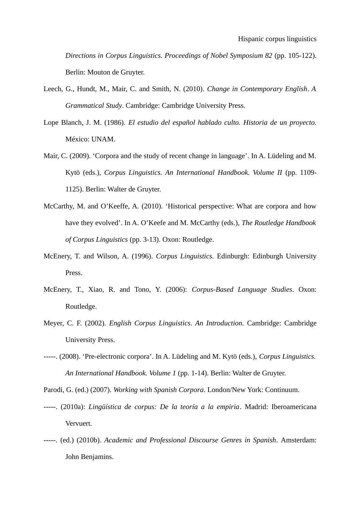*Directions in Corpus Linguistics. Proceedings of Nobel Symposium 82* (pp. 105-122). Berlin: Mouton de Gruyter.

- Leech, G., Hundt, M., Mair, C. and Smith, N. (2010). *Change in Contemporary English*. *A Grammatical Study*. Cambridge: Cambridge University Press.
- Lope Blanch, J. M. (1986). *El estudio del español hablado culto. Historia de un proyecto.* México: UNAM.
- Mair, C. (2009). ʻCorpora and the study of recent change in language'. In A. Lüdeling and M. Kytö (eds.), *Corpus Linguistics. An International Handbook. Volume II* (pp. 1109- 1125). Berlin: Walter de Gruyter.
- McCarthy, M. and O'Keeffe, A. (2010). ʻHistorical perspective: What are corpora and how have they evolved'. In A. O'Keefe and M. McCarthy (eds.), *The Routledge Handbook of Corpus Linguistics* (pp. 3-13). Oxon: Routledge.
- McEnery, T. and Wilson, A. (1996). *Corpus Linguistics.* Edinburgh: Edinburgh University Press.
- McEnery, T., Xiao, R. and Tono, Y. (2006): *Corpus-Based Language Studies*. Oxon: Routledge.
- Meyer, C. F. (2002). *English Corpus Linguistics. An Introduction.* Cambridge: Cambridge University Press.
- -----. (2008). ʻPre-electronic corpora'. In A. Lüdeling and M. Kytö (eds.), *Corpus Linguistics. An International Handbook. Volume 1* (pp. 1-14). Berlin: Walter de Gruyter.
- Parodi, G. (ed.) (2007). *Working with Spanish Corpora*. London/New York: Continuum.
- -----. (2010a): *Lingüística de corpus: De la teoría a la empiria*. Madrid: Iberoamericana Vervuert.
- -----. (ed.) (2010b). *Academic and Professional Discourse Genres in Spanish*. Amsterdam: John Benjamins.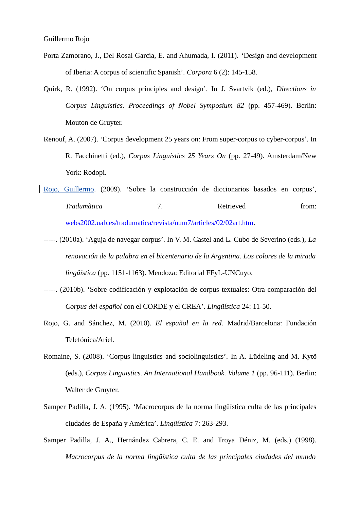- Porta Zamorano, J., Del Rosal García, E. and Ahumada, I. (2011). ʻDesign and development of Iberia: A corpus of scientific Spanish'. *Corpora* 6 (2): 145-158.
- Quirk, R. (1992). ʻOn corpus principles and design'. In J. Svartvik (ed.), *Directions in Corpus Linguistics. Proceedings of Nobel Symposium 82* (pp. 457-469). Berlin: Mouton de Gruyter.
- Renouf, A. (2007). ʻCorpus development 25 years on: From super-corpus to cyber-corpus'. In R. Facchinetti (ed.), *Corpus Linguistics 25 Years On* (pp. 27-49). Amsterdam/New York: Rodopi.
- Rojo, Guillermo. (2009). ʻSobre la construcción de diccionarios basados en corpus', **Tradumàtica** 7. Retrieved from: [webs2002.uab.es/tradumatica/revista/num7/articles/02/02art.htm.](http://webs2002.uab.es/tradumatica/revista/num7/articles/02/02art.htm)
	- -----. (2010a). ʻAguja de navegar corpus'. In V. M. Castel and L. Cubo de Severino (eds.), *La renovación de la palabra en el bicentenario de la Argentina. Los colores de la mirada lingüística* (pp. 1151-1163). Mendoza: Editorial FFyL-UNCuyo.
	- -----. (2010b). ʻSobre codificación y explotación de corpus textuales: Otra comparación del *Corpus del español* con el CORDE y el CREA'. *Lingüística* 24: 11-50.
	- Rojo, G. and Sánchez, M. (2010). *El español en la red.* Madrid/Barcelona: Fundación Telefónica/Ariel.
	- Romaine, S. (2008). ʻCorpus linguistics and sociolinguistics'. In A. Lüdeling and M. Kytö (eds.), *Corpus Linguistics. An International Handbook. Volume 1* (pp. 96-111). Berlin: Walter de Gruyter.
	- Samper Padilla, J. A. (1995). ʻMacrocorpus de la norma lingüística culta de las principales ciudades de España y América'. *Lingüística* 7: 263-293.
	- Samper Padilla, J. A., Hernández Cabrera, C. E. and Troya Déniz, M. (eds.) (1998). *Macrocorpus de la norma lingüística culta de las principales ciudades del mundo*